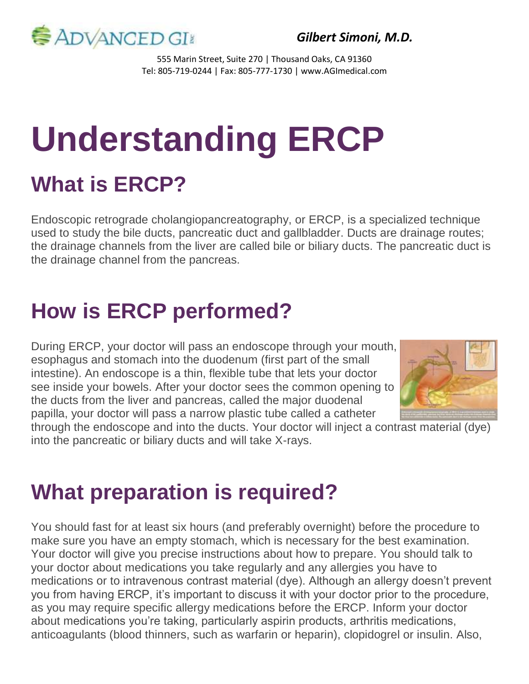

*Gilbert Simoni, M.D.*

555 Marin Street, Suite 270 | Thousand Oaks, CA 91360 Tel: 805-719-0244 | Fax: 805-777-1730 | www.AGImedical.com

# **Understanding ERCP What is ERCP?**

Endoscopic retrograde cholangiopancreatography, or ERCP, is a specialized technique used to study the bile ducts, pancreatic duct and gallbladder. Ducts are drainage routes; the drainage channels from the liver are called bile or biliary ducts. The pancreatic duct is the drainage channel from the pancreas.

# **How is ERCP performed?**

During ERCP, your doctor will pass an endoscope through your mouth, esophagus and stomach into the duodenum (first part of the small intestine). An endoscope is a thin, flexible tube that lets your doctor see inside your bowels. After your doctor sees the common opening to the ducts from the liver and pancreas, called the major duodenal papilla, your doctor will pass a narrow plastic tube called a catheter



through the endoscope and into the ducts. Your doctor will inject a contrast material (dye) into the pancreatic or biliary ducts and will take X-rays.

### **What preparation is required?**

You should fast for at least six hours (and preferably overnight) before the procedure to make sure you have an empty stomach, which is necessary for the best examination. Your doctor will give you precise instructions about how to prepare. You should talk to your doctor about medications you take regularly and any allergies you have to medications or to intravenous contrast material (dye). Although an allergy doesn't prevent you from having ERCP, it's important to discuss it with your doctor prior to the procedure, as you may require specific allergy medications before the ERCP. Inform your doctor about medications you're taking, particularly aspirin products, arthritis medications, anticoagulants (blood thinners, such as warfarin or heparin), clopidogrel or insulin. Also,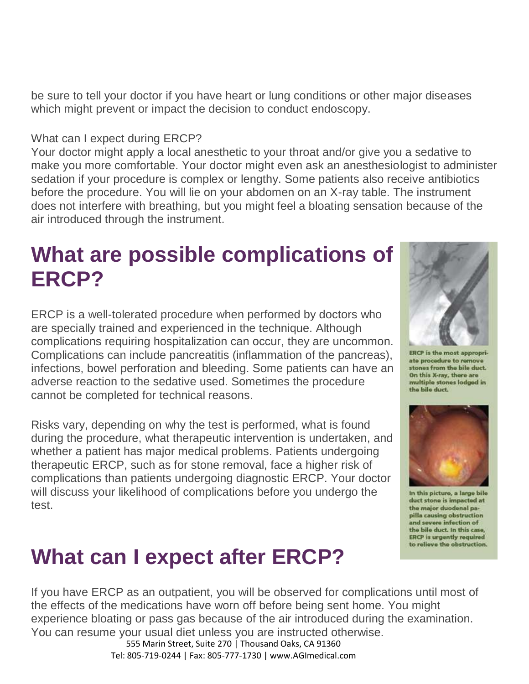be sure to tell your doctor if you have heart or lung conditions or other major diseases which might prevent or impact the decision to conduct endoscopy.

#### What can I expect during ERCP?

Your doctor might apply a local anesthetic to your throat and/or give you a sedative to make you more comfortable. Your doctor might even ask an anesthesiologist to administer sedation if your procedure is complex or lengthy. Some patients also receive antibiotics before the procedure. You will lie on your abdomen on an X-ray table. The instrument does not interfere with breathing, but you might feel a bloating sensation because of the air introduced through the instrument.

### **What are possible complications of ERCP?**

ERCP is a well-tolerated procedure when performed by doctors who are specially trained and experienced in the technique. Although complications requiring hospitalization can occur, they are uncommon. Complications can include pancreatitis (inflammation of the pancreas), infections, bowel perforation and bleeding. Some patients can have an adverse reaction to the sedative used. Sometimes the procedure cannot be completed for technical reasons.

Risks vary, depending on why the test is performed, what is found during the procedure, what therapeutic intervention is undertaken, and whether a patient has major medical problems. Patients undergoing therapeutic ERCP, such as for stone removal, face a higher risk of complications than patients undergoing diagnostic ERCP. Your doctor will discuss your likelihood of complications before you undergo the test.

## **What can I expect after ERCP?**

If you have ERCP as an outpatient, you will be observed for complications until most of the effects of the medications have worn off before being sent home. You might experience bloating or pass gas because of the air introduced during the examination. You can resume your usual diet unless you are instructed otherwise.

> 555 Marin Street, Suite 270 | Thousand Oaks, CA 91360 Tel: 805-719-0244 | Fax: 805-777-1730 | www.AGImedical.com



ate procedure to remove stones from the bile duct. On this X-ray, there are multiple stones lodged in the bile duct.



In this picture, a large bile duct stone is impacted at the major duodenal papilla causing obstruction and severe infection of the bile duct. In this case. **ERCP** is urgently required to relieve the obstruction.